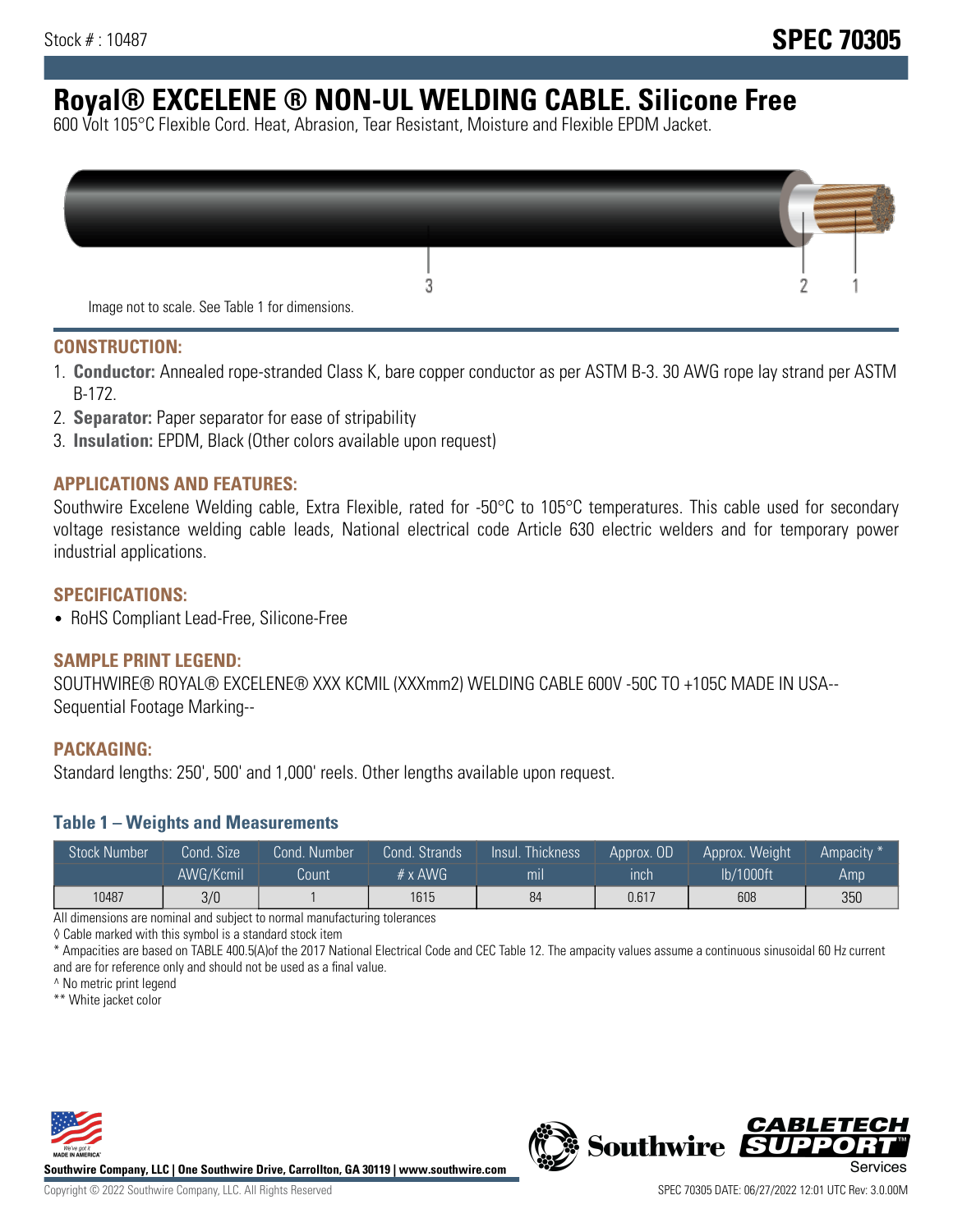# **Royal® EXCELENE ® NON-UL WELDING CABLE. Silicone Free**

600 Volt 105°C Flexible Cord. Heat, Abrasion, Tear Resistant, Moisture and Flexible EPDM Jacket.

| Image not to scale. See Table 1 for dimensions. |  |
|-------------------------------------------------|--|

#### **CONSTRUCTION:**

- 1. **Conductor:** Annealed rope-stranded Class K, bare copper conductor as per ASTM B-3. 30 AWG rope lay strand per ASTM B-172.
- 2. **Separator:** Paper separator for ease of stripability
- 3. **Insulation:** EPDM, Black (Other colors available upon request)

#### **APPLICATIONS AND FEATURES:**

Southwire Excelene Welding cable, Extra Flexible, rated for -50°C to 105°C temperatures. This cable used for secondary voltage resistance welding cable leads, National electrical code Article 630 electric welders and for temporary power industrial applications.

#### **SPECIFICATIONS:**

• RoHS Compliant Lead-Free, Silicone-Free

#### **SAMPLE PRINT LEGEND:**

SOUTHWIRE® ROYAL® EXCELENE® XXX KCMIL (XXXmm2) WELDING CABLE 600V -50C TO +105C MADE IN USA-- Sequential Footage Marking--

#### **PACKAGING:**

Standard lengths: 250', 500' and 1,000' reels. Other lengths available upon request.

#### **Table 1 – Weights and Measurements**

| <b>Stock Number</b> | Cond. Size' | Cond. Number | Cond. Strands   | /Insul.<br>:Thickness' | Approx. OD | Approx. Weight | Ampacity <sup>*</sup> |
|---------------------|-------------|--------------|-----------------|------------------------|------------|----------------|-----------------------|
|                     | AWG/Kcmil   | Count        | $# \times$ AWG. | m <sub>l</sub>         | inch       | lb/1000ft      | Amp                   |
| 10487               | 3/0         |              | 1615            | 84                     | 0.617      | 608            | 350                   |

All dimensions are nominal and subject to normal manufacturing tolerances

◊ Cable marked with this symbol is a standard stock item

\* Ampacities are based on TABLE 400.5(A)of the 2017 National Electrical Code and CEC Table 12. The ampacity values assume a continuous sinusoidal 60 Hz current and are for reference only and should not be used as a final value.

^ No metric print legend

\*\* White jacket color



**Southwire Company, LLC | One Southwire Drive, Carrollton, GA 30119 | www.southwire.com**